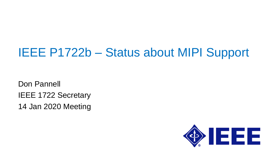# IEEE P1722b – Status about MIPI Support

Don Pannell IEEE 1722 Secretary 14 Jan 2020 Meeting

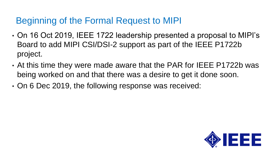# Beginning of the Formal Request to MIPI

- On 16 Oct 2019, IEEE 1722 leadership presented a proposal to MIPI's Board to add MIPI CSI/DSI-2 support as part of the IEEE P1722b project.
- At this time they were made aware that the PAR for IEEE P1722b was being worked on and that there was a desire to get it done soon.
- On 6 Dec 2019, the following response was received:

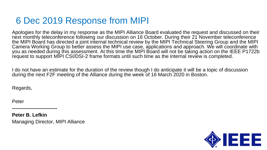### 6 Dec 2019 Response from MIPI

Apologies for the delay in my response as the MIPI Alliance Board evaluated the request and discussed on their next monthly teleconference following our discussion on 16 October. During their 21 November teleconference the MIPI Board has directed a joint internal technical review by the MIPI Technical Steering Group and the MIPI Camera Working Group to better assess the MIPI use case, applications and approach. We will coordinate with you as needed during this assessment. At this time the MIPI Board will not be taking action on the IEEE P1722b request to support MIPI CSI/DSI-2 frame formats until such time as the internal review is completed.

I do not have an estimate for the duration of the review though I do anticipate it will be a topic of discussion during the next F2F meeting of the Alliance during the week of 16 March 2020 in Boston.

Regards,

Peter

**Peter B. Lefkin** Managing Director, MIPI Alliance

**---------------------------**

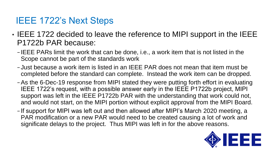## IEEE 1722's Next Steps

- IEEE 1722 decided to leave the reference to MIPI support in the IEEE P1722b PAR because:
	- − IEEE PARs limit the work that can be done, i.e., a work item that is not listed in the Scope cannot be part of the standards work
	- − Just because a work item is listed in an IEEE PAR does not mean that item must be completed before the standard can complete. Instead the work item can be dropped.
	- −As the 6-Dec-19 response from MIPI stated they were putting forth effort in evaluating IEEE 1722's request, with a possible answer early in the IEEE P1722b project, MIPI support was left in the IEEE P1722b PAR with the understanding that work could not, and would not start, on the MIPI portion without explicit approval from the MIPI Board.
	- − If support for MIPI was left out and then allowed after MIPI's March 2020 meeting, a PAR modification or a new PAR would need to be created causing a lot of work and significate delays to the project. Thus MIPI was left in for the above reasons.

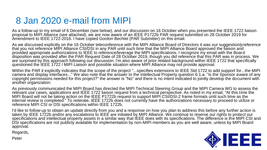## 8 Jan 2020 e-mail from MIPI

As a follow-up to my email of 6 December (see below), and our discussion on 16 October when you presented the IEEE 1722 liaison proposal to MIPI Alliance (see attached), we are now aware of an IEEE P1722b PAR request submitted on 28 October 2019 for Amendment to IEEE 1722-2016. I have copied Gordon Bechtel (PAR Submitter) on this email.

As we discussed explicitly on the 16 October teleconference with the MIPI Alliance Board of Directors it was our suggestion/preference that you not reference MIPI Alliance CSI/DSI in any PAR until such time that the MIPI Alliance Board approved the liaison and provided appropriate authorizations to IEEE to reference/leverage the MIPI specifications. I recognize my email with the Board disposition was provided after the PAR Request Date of 28 October 2019, though you did reference that this PAR was in process. We are surprised by this approach following our discussion. I'm also aware of prior related background within IEEE 1722 that specifically questioned the IEEE 1722 / MIPI Liaison and possible situation where MIPI Alliance may not provide approval.

Within the PAR it explicitly indicates that the scope of the project "...specifies extensions to IEEE Std 1722 to add support for...the MIPI camera and display interfaces..." We also note that the answer to the Intellectual Property question 6.1.a. "Is the Sponsor aware of any copyright permissions needed for this project?" the answer is "No" and there is no intent indicated to jointly develop the document with another organization.

As previously communicated the MIPI Board has directed the MIPI Technical Steering Group and the MIPI Camera WG to assess the relevant use cases, applications and IEEE 1722 liaison request from a technical perspective. As noted in my email, "At this time the MIPI Board will not be taking action on the IEEE P1722b request to support MIPI CSI/DSI-2 frame formats until such time as the internal review is completed." To reiterate, IEEE 1722b does not currently have the authorizations necessary to proceed to utilize or reference MIPI CSI or DSI specifications within IEEE 1722b.

I'd like to follow-up to obtain an update directly from you and a response on how you plan to address this before any further action is taken by IEEE 1722b and/or any escalations to IEEE are initiated by MIPI Alliance. We continue to reserve our rights to protect our specifications and intellectual property assets in a similar way that IEEE does with its specifications. The difference is the MIPI CSI and DSI specifications are not publicly available for implementation by non-MIPI members as you are well aware, unless by MIPI Board approval.

Regards,



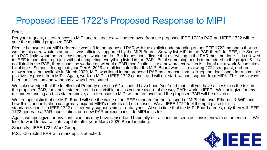# Proposed IEEE 1722's Proposed Response to MIPI

Peter,

Per your request, all references to MIPI and related text will be removed from the proposed IEEE 1722b PAR and IEEE 1722 will revote the modified proposed PAR.

Please be aware that MIPI reference was left in the proposed PAR with the explicit understanding of the IEEE 1722 members that no work in this area would start until it was officially supported by the MIPI Board. So why list MIPI in the PAR then? In IEEE, the Scope of a PAR limits what the project/standards work can do. But it does not indicate that everything in the PAR must be done. It is allowed in IEEE to complete a project without completing everything listed in the PAR. But if something needs to be added to the project & it is not listed in the PAR, then it can't be worked on without a PAR modification – or a new project, which is a lot of extra work & can take a bit of time. So considering that your Dec 6, 2019 e-mail indicated that the MIPI Board was still reviewing 1722's request, and an answer could be available in March 2020, MIPI was listed in the proposed PAR as a mechanism to "keep the door" open for a possible positive response from MIPI. Again, work on MIPI in IEEE 1722 cannot, and will not start, without support from MIPI. This has always been the intention and what has always been stated.

We acknowledge that the Intellectual Property question 6.1.a should have been "yes" and that if all you have access to is the text in the proposed PAR, the above stated intent is not visible unless you are aware of the way PARs work in IEEE. We apologize for any misunderstanding and, as stated above, all references to MIPI will be removed and the proposed PAR will be re-voted.

We are optimistic that the MIPI Board will see the value of an IEEE standard for the transport of MIPI data over Ethernet & WiFi and how this standardization can greatly expand MIPI's markets and use-cases. We at IEEE 1722 feel the right place for this standardization is in IEEE 1722 as it already supports similar data types. At such time that the MIPI Board agrees, only then will IEEE 1722 generate a PAR modification, or a new PAR project to include MIPI in its text.

Again, we apologize for any confusion this may have caused and hopefully our actions are seen as consistent with our intentions. We look forward to hear a status update after your March 2020 Board meeting.

Sincerely, IEEE 1722 Work Group,

P.S., Corrected PAR with mark-ups is attached.

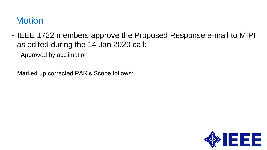# **Motion**

- IEEE 1722 members approve the Proposed Response e-mail to MIPI as edited during the 14 Jan 2020 call:
	- −Approved by acclimation

Marked up corrected PAR's Scope follows:

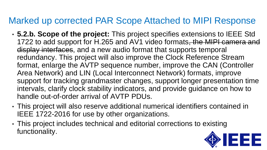## Marked up corrected PAR Scope Attached to MIPI Response

- **5.2.b. Scope of the project:** This project specifies extensions to IEEE Std 1722 to add support for H.265 and AV1 video formats, the MIPI camera and display interfaces, and a new audio format that supports temporal redundancy. This project will also improve the Clock Reference Stream format, enlarge the AVTP sequence number, improve the CAN (Controller Area Network) and LIN (Local Interconnect Network) formats, improve support for tracking grandmaster changes, support longer presentation time intervals, clarify clock stability indicators, and provide guidance on how to handle out-of-order arrival of AVTP PDUs.
- This project will also reserve additional numerical identifiers contained in IEEE 1722-2016 for use by other organizations.
- This project includes technical and editorial corrections to existing functionality.